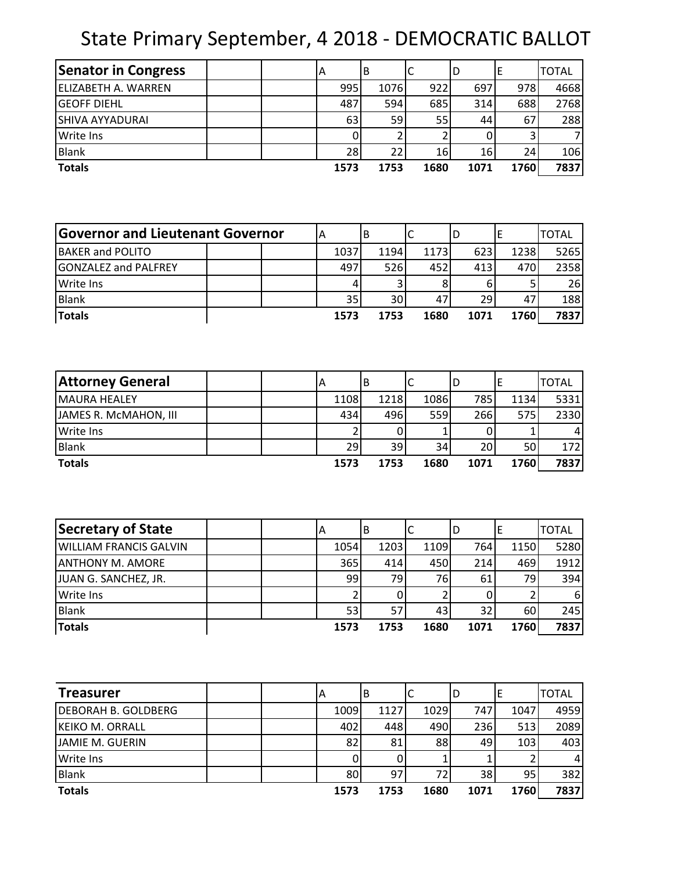## State Primary September, 4 2018 - DEMOCRATIC BALLOT

| <b>Senator in Congress</b> |  | A    | B    | C    | D    |      | <b>TOTAL</b> |
|----------------------------|--|------|------|------|------|------|--------------|
| ELIZABETH A. WARREN        |  | 995  | 1076 | 922  | 697  | 978  | 4668         |
| <b>GEOFF DIEHL</b>         |  | 487  | 594  | 685  | 314  | 688  | 2768         |
| <b>SHIVA AYYADURAI</b>     |  | 63   | 59   | 55   | 44   | 67   | 288          |
| <b>Write Ins</b>           |  |      |      |      |      |      | 7            |
| <b>Blank</b>               |  | 28   | 22   | 16   | 16   | 24   | 106          |
| <b>Totals</b>              |  | 1573 | 1753 | 1680 | 1071 | 1760 | 7837         |

| <b>Governor and Lieutenant Governor</b> |  |      | В               |      |    |      |      | <b>TOTAL</b> |
|-----------------------------------------|--|------|-----------------|------|----|------|------|--------------|
| <b>BAKER and POLITO</b>                 |  | 1037 | 1194            | 1173 |    | 623  | 1238 | 5265         |
| <b>GONZALEZ and PALFREY</b>             |  | 497  | 526l            | 452  |    | 413  | 470  | 2358         |
| <b>Write Ins</b>                        |  |      |                 |      |    |      |      | 26           |
| Blank                                   |  | 35   | 30 <sub>1</sub> |      | 47 | 29   |      | 188          |
| <b>Totals</b>                           |  | 1573 | 1753            | 1680 |    | 1071 | 1760 | 7837         |

| <b>Attorney General</b> | A    | B    |      | ID   |      | <b>TOTAL</b> |
|-------------------------|------|------|------|------|------|--------------|
| <b>MAURA HEALEY</b>     | 1108 | 1218 | 1086 | 785  | 1134 | 5331         |
| JAMES R. MCMAHON, III   | 434  | 496  | 559  | 266  | 575l | 2330         |
| <b>Write Ins</b>        |      |      |      |      |      | 41           |
| Blank                   | 29   | 39   | 34   | 20   | 50   | 172l         |
| <b>Totals</b>           | 1573 | 1753 | 1680 | 1071 | 1760 | 7837         |

| Secretary of State            | ΙA   | B    | ◡    | ID   |      | <b>TOTAL</b> |
|-------------------------------|------|------|------|------|------|--------------|
| <b>WILLIAM FRANCIS GALVIN</b> | 1054 | 1203 | 1109 | 764  | 1150 | 5280         |
| <b>ANTHONY M. AMORE</b>       | 365  | 414  | 450  | 214  | 469  | 1912         |
| JUAN G. SANCHEZ, JR.          | 99   | 79I  | 76   | 61   | 79   | 394          |
| <b>Write Ins</b>              |      |      |      |      |      | 61           |
| <b>Blank</b>                  | 53   | 57   | 43   | 32   | 60   | 245          |
| <b>Totals</b>                 | 1573 | 1753 | 1680 | 1071 | 1760 | 7837         |

| <b>Treasurer</b>           |  | ΙA   | B    | J    | ID   |                 | <b>TOTAL</b> |
|----------------------------|--|------|------|------|------|-----------------|--------------|
| <b>DEBORAH B. GOLDBERG</b> |  | 1009 | 1127 | 1029 | 747  | 1047            | 4959         |
| KEIKO M. ORRALL            |  | 402  | 448  | 490  | 236  | 513             | 2089         |
| <b>JAMIE M. GUERIN</b>     |  | 82   | 81   | 88   | 49   | 103             | 403          |
| <b>Write Ins</b>           |  |      |      |      |      |                 | 4            |
| <b>Blank</b>               |  | 80   | 97   |      | 38   | 95 <sub>1</sub> | 382          |
| <b>Totals</b>              |  | 1573 | 1753 | 1680 | 1071 | 1760            | 7837         |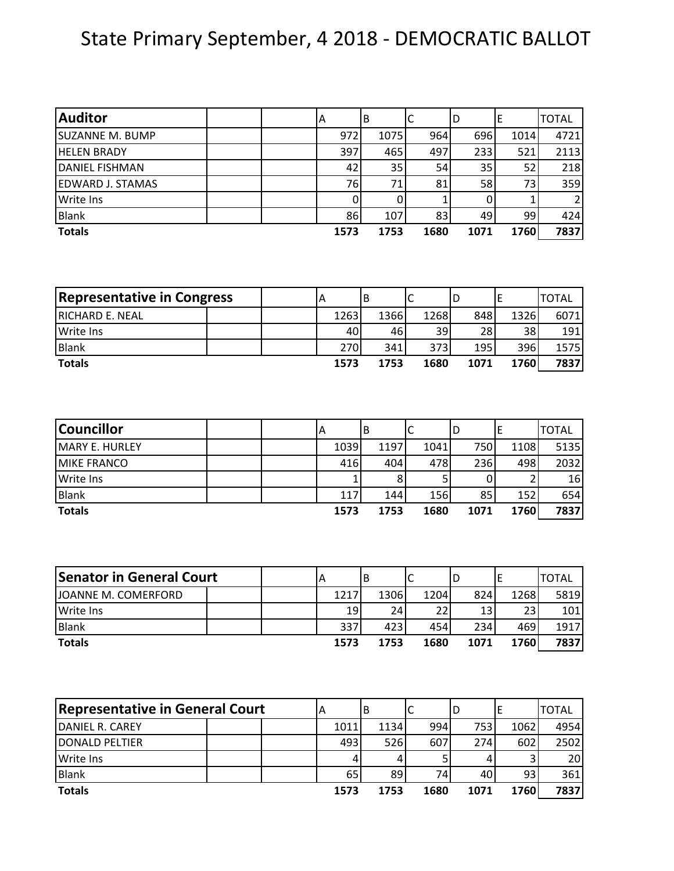## State Primary September, 4 2018 - DEMOCRATIC BALLOT

| <b>Auditor</b>          | IΑ |      | ΙB   |      | ID   | E    | <b>TOTAL</b> |
|-------------------------|----|------|------|------|------|------|--------------|
| <b>SUZANNE M. BUMP</b>  |    | 972  | 1075 | 964  | 696  | 1014 | 4721         |
| <b>HELEN BRADY</b>      |    | 397  | 465  | 497  | 233  | 521  | 2113         |
| DANIEL FISHMAN          |    | 42   | 35   | 54   | 35   | 52   | 218          |
| <b>EDWARD J. STAMAS</b> |    | 76   | 71   | 81   | 58   | 731  | 359          |
| <b>Write Ins</b>        |    | 0    |      |      |      |      | 2            |
| <b>Blank</b>            |    | 86   | 107  | 83   | 49   | 99   | 424          |
| <b>Totals</b>           |    | 1573 | 1753 | 1680 | 1071 | 1760 | 7837         |

| <b>Representative in Congress</b> |  |      | В    | ֊    |      |      | <b>TOTAL</b> |
|-----------------------------------|--|------|------|------|------|------|--------------|
| <b>RICHARD E. NEAL</b>            |  | 1263 | 1366 | 1268 | 848  | 1326 | 6071         |
| <b>Write Ins</b>                  |  | 401  | 46   | 39   | 28   | 38   | 191          |
| <b>Blank</b>                      |  | 270  | 341  | 373I | 195  | 396  | 1575         |
| <b>Totals</b>                     |  | 1573 | 1753 | 1680 | 1071 | 1760 | 7837         |

| <b>Councillor</b>     |  | ΙA   | ΙB   |      | D    |      | <b>TOTAL</b> |
|-----------------------|--|------|------|------|------|------|--------------|
| <b>MARY E. HURLEY</b> |  | 1039 | 1197 | 1041 | 750  | 1108 | 5135         |
| <b>MIKE FRANCO</b>    |  | 416  | 404  | 478  | 236  | 498  | 2032         |
| <b>Write Ins</b>      |  |      |      |      |      |      | 16           |
| <b>Blank</b>          |  | 117  | 144  | 156  | 85   | 152  | 654          |
| <b>Totals</b>         |  | 1573 | 1753 | 1680 | 1071 | 1760 | 7837         |

| <b>Senator in General Court</b> |  | A    |                 |      | ١c   |      | <b>TOTAL</b> |
|---------------------------------|--|------|-----------------|------|------|------|--------------|
| JOANNE M. COMERFORD             |  | 1217 | 1306            | 1204 | 824  | 1268 | 5819         |
| Write Ins                       |  | 191  | 24 <sub>1</sub> | 22   |      | 23I  | 101          |
| Blank                           |  | 337  | 423             | 454  | 234  | 469  | 1917         |
| <b>Totals</b>                   |  | 1573 | 1753            | 1680 | 1071 | 1760 | 7837         |

| <b>Representative in General Court</b> |  | Α    | B    |      | D    |      | TOTAL |
|----------------------------------------|--|------|------|------|------|------|-------|
| DANIEL R. CAREY                        |  | 1011 | 1134 | 994  | 753  | 1062 | 4954  |
| <b>IDONALD PELTIER</b>                 |  | 493  | 526  | 607  | 274  | 602  | 2502  |
| <b>Write Ins</b>                       |  | 4    |      |      |      |      | 20I   |
| Blank                                  |  | 65   | 89   | 74I  | 40   | 93   | 361   |
| <b>Totals</b>                          |  | 1573 | 1753 | 1680 | 1071 | 1760 | 7837  |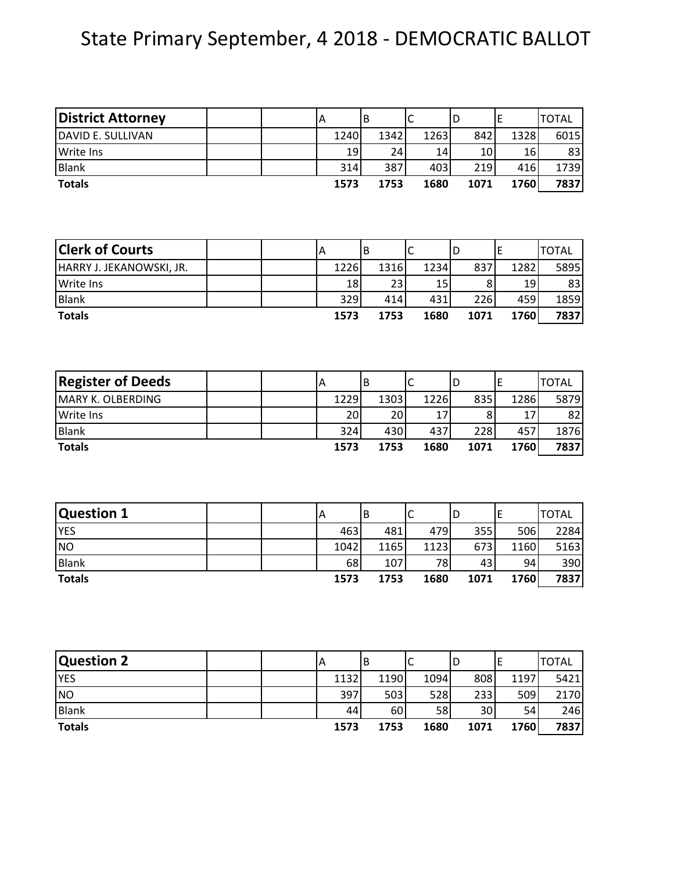## State Primary September, 4 2018 - DEMOCRATIC BALLOT

| <b>District Attorney</b> | Α                         |      | B       |      | $\mathsf{C}$ |      | D |      | $\mathsf E$ |      | <b>TOTAL</b> |
|--------------------------|---------------------------|------|---------|------|--------------|------|---|------|-------------|------|--------------|
| DAVID E. SULLIVAN        |                           | 1240 |         | 1342 |              | 1263 |   | 842  |             | 1328 | 6015         |
| <b>Write Ins</b>         |                           | 19   |         | 24   |              | 14   |   | 10   |             | 16   | 83           |
| <b>Blank</b>             |                           | 314  |         | 387  |              | 403  |   | 219  |             | 416  | 1739         |
| <b>Totals</b>            |                           | 1573 |         | 1753 |              | 1680 |   | 1071 |             | 1760 | 7837         |
|                          |                           |      |         |      |              |      |   |      |             |      |              |
| <b>Clerk of Courts</b>   | $\boldsymbol{\mathsf{A}}$ |      | B       |      | C            |      | D |      | $\mathsf E$ |      | <b>TOTAL</b> |
| HARRY J. JEKANOWSKI, JR. |                           | 1226 |         | 1316 |              | 1234 |   | 837  |             | 1282 | 5895         |
| <b>Write Ins</b>         |                           | 18   |         | 23   |              | 15   |   | 8    |             | 19   | 83           |
| <b>Blank</b>             |                           | 329  |         | 414  |              | 431  |   | 226  |             | 459  | 1859         |
| <b>Totals</b>            |                           | 1573 |         | 1753 |              | 1680 |   | 1071 |             | 1760 | 7837         |
| <b>Register of Deeds</b> | $\boldsymbol{\mathsf{A}}$ |      | B       |      | $\mathsf{C}$ |      | D |      | $\mathsf E$ |      | <b>TOTAL</b> |
| <b>MARY K. OLBERDING</b> |                           | 1229 |         | 1303 |              | 1226 |   | 835  |             | 1286 | 5879         |
| <b>Write Ins</b>         |                           | 20   |         | 20   |              | 17   |   | 8    |             | 17   | 82           |
| <b>Blank</b>             |                           | 324  |         | 430  |              | 437  |   | 228  |             | 457  | 1876         |
| <b>Totals</b>            |                           | 1573 |         | 1753 |              | 1680 |   | 1071 |             | 1760 | 7837         |
|                          |                           |      |         |      |              |      |   |      |             |      |              |
| Question 1               | A                         |      | B       |      | $\mathsf{C}$ |      | D |      | $\mathsf E$ |      | <b>TOTAL</b> |
| <b>YES</b>               |                           | 463  |         | 481  |              | 479  |   | 355  |             | 506  | 2284         |
| <b>NO</b>                |                           | 1042 |         | 1165 |              | 1123 |   | 673  |             | 1160 | 5163         |
| <b>Blank</b>             |                           | 68   |         | 107  |              | 78   |   | 43   |             | 94   | 390          |
| <b>Totals</b>            |                           | 1573 |         | 1753 |              | 1680 |   | 1071 |             | 1760 | 7837         |
|                          |                           |      |         |      |              |      |   |      |             |      |              |
| Question 2               | A                         |      | $\sf B$ |      | $\mathsf{C}$ |      | D |      | $\mathsf E$ |      | <b>TOTAL</b> |
| <b>YES</b>               |                           | 1132 |         | 1190 |              | 1094 |   | 808  |             | 1197 | 5421         |
| <b>NO</b>                |                           | 397  |         | 503  |              | 528  |   | 233  |             | 509  | 2170         |
| <b>Blank</b>             |                           | 44   |         | 60   |              | 58   |   | 30   |             | 54   | 246          |

**Totals 1573 1753 1680 1071 1760 7837**